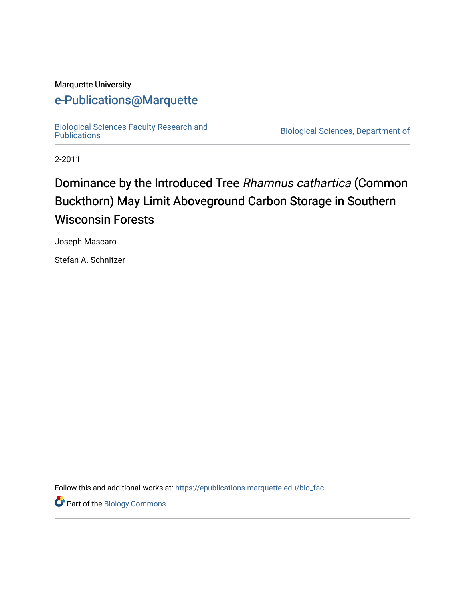#### Marquette University

# [e-Publications@Marquette](https://epublications.marquette.edu/)

[Biological Sciences Faculty Research and](https://epublications.marquette.edu/bio_fac) 

Biological Sciences, Department of

2-2011

# Dominance by the Introduced Tree Rhamnus cathartica (Common Buckthorn) May Limit Aboveground Carbon Storage in Southern Wisconsin Forests

Joseph Mascaro

Stefan A. Schnitzer

Follow this and additional works at: [https://epublications.marquette.edu/bio\\_fac](https://epublications.marquette.edu/bio_fac?utm_source=epublications.marquette.edu%2Fbio_fac%2F721&utm_medium=PDF&utm_campaign=PDFCoverPages) 

Part of the [Biology Commons](http://network.bepress.com/hgg/discipline/41?utm_source=epublications.marquette.edu%2Fbio_fac%2F721&utm_medium=PDF&utm_campaign=PDFCoverPages)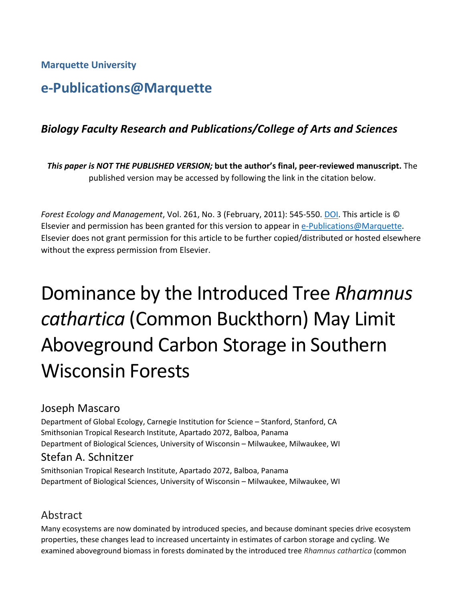**Marquette University**

# **e-Publications@Marquette**

## *Biology Faculty Research and Publications/College of Arts and Sciences*

*This paper is NOT THE PUBLISHED VERSION;* **but the author's final, peer-reviewed manuscript.** The published version may be accessed by following the link in the citation below.

*Forest Ecology and Management*, Vol. 261, No. 3 (February, 2011): 545-550. DOI. This article is © Elsevier and permission has been granted for this version to appear in [e-Publications@Marquette.](http://epublications.marquette.edu/) Elsevier does not grant permission for this article to be further copied/distributed or hosted elsewhere without the express permission from Elsevier.

# Dominance by the Introduced Tree *Rhamnus cathartica* (Common Buckthorn) May Limit Aboveground Carbon Storage in Southern Wisconsin Forests

#### Joseph Mascaro

Department of Global Ecology, Carnegie Institution for Science – Stanford, Stanford, CA Smithsonian Tropical Research Institute, Apartado 2072, Balboa, Panama Department of Biological Sciences, University of Wisconsin – Milwaukee, Milwaukee, WI

#### Stefan A. Schnitzer

Smithsonian Tropical Research Institute, Apartado 2072, Balboa, Panama Department of Biological Sciences, University of Wisconsin – Milwaukee, Milwaukee, WI

## Abstract

Many ecosystems are now dominated by introduced species, and because dominant species drive ecosystem properties, these changes lead to increased uncertainty in estimates of carbon storage and cycling. We examined aboveground biomass in forests dominated by the introduced tree *Rhamnus cathartica* (common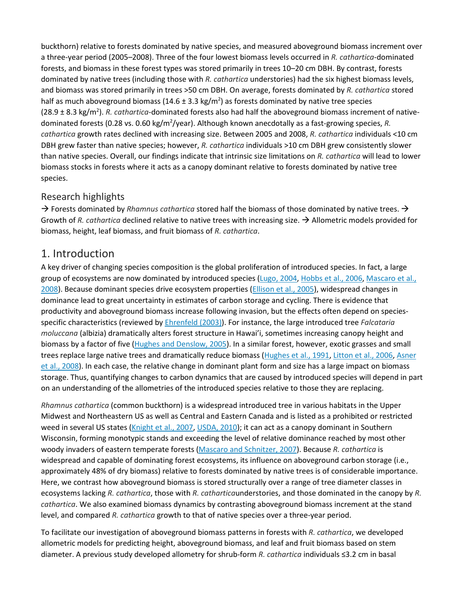buckthorn) relative to forests dominated by native species, and measured aboveground biomass increment over a three-year period (2005–2008). Three of the four lowest biomass levels occurred in *R. cathartica*-dominated forests, and biomass in these forest types was stored primarily in trees 10–20 cm DBH. By contrast, forests dominated by native trees (including those with *R. cathartica* understories) had the six highest biomass levels, and biomass was stored primarily in trees >50 cm DBH. On average, forests dominated by *R. cathartica* stored half as much aboveground biomass (14.6  $\pm$  3.3 kg/m<sup>2</sup>) as forests dominated by native tree species (28.9 ± 8.3 kg/m<sup>2</sup>). *R. cathartica*-dominated forests also had half the aboveground biomass increment of nativedominated forests (0.28 vs. 0.60 kg/m<sup>2</sup>/year). Although known anecdotally as a fast-growing species, R. *cathartica* growth rates declined with increasing size. Between 2005 and 2008, *R. cathartica* individuals <10 cm DBH grew faster than native species; however, *R. cathartica* individuals >10 cm DBH grew consistently slower than native species. Overall, our findings indicate that intrinsic size limitations on *R. cathartica* will lead to lower biomass stocks in forests where it acts as a canopy dominant relative to forests dominated by native tree species.

#### Research highlights

 $\rightarrow$  Forests dominated by *Rhamnus cathartica* stored half the biomass of those dominated by native trees.  $\rightarrow$ Growth of *R. cathartica* declined relative to native trees with increasing size.  $\rightarrow$  Allometric models provided for biomass, height, leaf biomass, and fruit biomass of *R. cathartica*.

#### 1. Introduction

A key driver of changing species composition is the global proliferation of introduced species. In fact, a large group of ecosystems are now dominated by introduced species [\(Lugo, 2004,](https://www.sciencedirect.com/science/article/pii/S037811271000664X#bib0085) [Hobbs et al., 2006,](https://www.sciencedirect.com/science/article/pii/S037811271000664X#bib0045) Mascaro et al., [2008\)](https://www.sciencedirect.com/science/article/pii/S037811271000664X#bib0090). Because dominant species drive ecosystem properties [\(Ellison et al., 2005\)](https://www.sciencedirect.com/science/article/pii/S037811271000664X#bib0030), widespread changes in dominance lead to great uncertainty in estimates of carbon storage and cycling. There is evidence that productivity and aboveground biomass increase following invasion, but the effects often depend on speciesspecific characteristics (reviewed by [Ehrenfeld \(2003\)\)](https://www.sciencedirect.com/science/article/pii/S037811271000664X#bib0025). For instance, the large introduced tree *Falcataria moluccana* (albizia) dramatically alters forest structure in Hawai'i, sometimes increasing canopy height and biomass by a factor of five [\(Hughes and Denslow, 2005\)](https://www.sciencedirect.com/science/article/pii/S037811271000664X#bib0050). In a similar forest, however, exotic grasses and small trees replace large native trees and dramatically reduce biomass [\(Hughes et al.,](https://www.sciencedirect.com/science/article/pii/S037811271000664X#bib0055) 1991, [Litton et al., 2006,](https://www.sciencedirect.com/science/article/pii/S037811271000664X#bib0080) [Asner](https://www.sciencedirect.com/science/article/pii/S037811271000664X#bib0005)  [et al., 2008\)](https://www.sciencedirect.com/science/article/pii/S037811271000664X#bib0005). In each case, the relative change in dominant plant form and size has a large impact on biomass storage. Thus, quantifying changes to carbon dynamics that are caused by introduced species will depend in part on an understanding of the allometries of the introduced species relative to those they are replacing.

*Rhamnus cathartica* (common buckthorn) is a widespread introduced tree in various habitats in the Upper Midwest and Northeastern US as well as Central and Eastern Canada and is listed as a prohibited or restricted weed in several US states (*Knight et al., 2007, USDA, 2010*); it can act as a canopy dominant in Southern Wisconsin, forming monotypic stands and exceeding the level of relative dominance reached by most other woody invaders of eastern temperate forests [\(Mascaro and Schnitzer, 2007\)](https://www.sciencedirect.com/science/article/pii/S037811271000664X#bib0095). Because *R. cathartica* is widespread and capable of dominating forest ecosystems, its influence on aboveground carbon storage (i.e., approximately 48% of dry biomass) relative to forests dominated by native trees is of considerable importance. Here, we contrast how aboveground biomass is stored structurally over a range of tree diameter classes in ecosystems lacking *R. cathartica*, those with *R. cathartica*understories, and those dominated in the canopy by *R. cathartica*. We also examined biomass dynamics by contrasting aboveground biomass increment at the stand level, and compared *R. cathartica* growth to that of native species over a three-year period.

To facilitate our investigation of aboveground biomass patterns in forests with *R. cathartica*, we developed allometric models for predicting height, aboveground biomass, and leaf and fruit biomass based on stem diameter. A previous study developed allometry for shrub-form *R. cathartica* individuals ≤3.2 cm in basal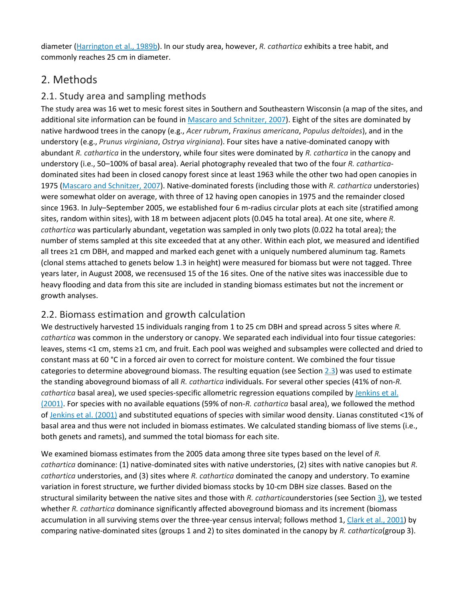diameter [\(Harrington et al., 1989b\)](https://www.sciencedirect.com/science/article/pii/S037811271000664X#bib0040). In our study area, however, *R. cathartica* exhibits a tree habit, and commonly reaches 25 cm in diameter.

# 2. Methods

#### 2.1. Study area and sampling methods

The study area was 16 wet to mesic forest sites in Southern and Southeastern Wisconsin (a map of the sites, and additional site information can be found in [Mascaro and Schnitzer, 2007\)](https://www.sciencedirect.com/science/article/pii/S037811271000664X#bib0095). Eight of the sites are dominated by native hardwood trees in the canopy (e.g., *Acer rubrum*, *Fraxinus americana*, *Populus deltoides*), and in the understory (e.g., *Prunus virginiana*, *Ostrya virginiana*). Four sites have a native-dominated canopy with abundant *R. cathartica* in the understory, while four sites were dominated by *R. cathartica* in the canopy and understory (i.e., 50–100% of basal area). Aerial photography revealed that two of the four *R. cathartica*dominated sites had been in closed canopy forest since at least 1963 while the other two had open canopies in 1975 [\(Mascaro and Schnitzer, 2007\)](https://www.sciencedirect.com/science/article/pii/S037811271000664X#bib0095). Native-dominated forests (including those with *R. cathartica* understories) were somewhat older on average, with three of 12 having open canopies in 1975 and the remainder closed since 1963. In July–September 2005, we established four 6 m-radius circular plots at each site (stratified among sites, random within sites), with 18 m between adjacent plots (0.045 ha total area). At one site, where *R. cathartica* was particularly abundant, vegetation was sampled in only two plots (0.022 ha total area); the number of stems sampled at this site exceeded that at any other. Within each plot, we measured and identified all trees ≥1 cm DBH, and mapped and marked each genet with a uniquely numbered aluminum tag. Ramets (clonal stems attached to genets below 1.3 in height) were measured for biomass but were not tagged. Three years later, in August 2008, we recensused 15 of the 16 sites. One of the native sites was inaccessible due to heavy flooding and data from this site are included in standing biomass estimates but not the increment or growth analyses.

#### 2.2. Biomass estimation and growth calculation

We destructively harvested 15 individuals ranging from 1 to 25 cm DBH and spread across 5 sites where *R. cathartica* was common in the understory or canopy. We separated each individual into four tissue categories: leaves, stems <1 cm, stems ≥1 cm, and fruit. Each pool was weighed and subsamples were collected and dried to constant mass at 60 °C in a forced air oven to correct for moisture content. We combined the four tissue categories to determine aboveground biomass. The resulting equation (see Section [2.3\)](https://www.sciencedirect.com/science/article/pii/S037811271000664X#sec0025) was used to estimate the standing aboveground biomass of all *R. cathartica* individuals. For several other species (41% of non-*R. cathartica* basal area), we used species-specific allometric regression equations compiled by [Jenkins et al.](https://www.sciencedirect.com/science/article/pii/S037811271000664X#bib0060)  [\(2001\).](https://www.sciencedirect.com/science/article/pii/S037811271000664X#bib0060) For species with no available equations (59% of non-*R. cathartica* basal area), we followed the method of [Jenkins et al. \(2001\)](https://www.sciencedirect.com/science/article/pii/S037811271000664X#bib0060) and substituted equations of species with similar wood density. Lianas constituted <1% of basal area and thus were not included in biomass estimates. We calculated standing biomass of live stems (i.e., both genets and ramets), and summed the total biomass for each site.

We examined biomass estimates from the 2005 data among three site types based on the level of *R. cathartica* dominance: (1) native-dominated sites with native understories, (2) sites with native canopies but *R. cathartica* understories, and (3) sites where *R. cathartica* dominated the canopy and understory. To examine variation in forest structure, we further divided biomass stocks by 10-cm DBH size classes. Based on the structural similarity between the native sites and those with *R. cathartica*understories (see Section [3\)](https://www.sciencedirect.com/science/article/pii/S037811271000664X#sec0030), we tested whether *R. cathartica* dominance significantly affected aboveground biomass and its increment (biomass accumulation in all surviving stems over the three-year census interval; follows method 1, [Clark et al., 2001\)](https://www.sciencedirect.com/science/article/pii/S037811271000664X#bib0020) by comparing native-dominated sites (groups 1 and 2) to sites dominated in the canopy by *R. cathartica*(group 3).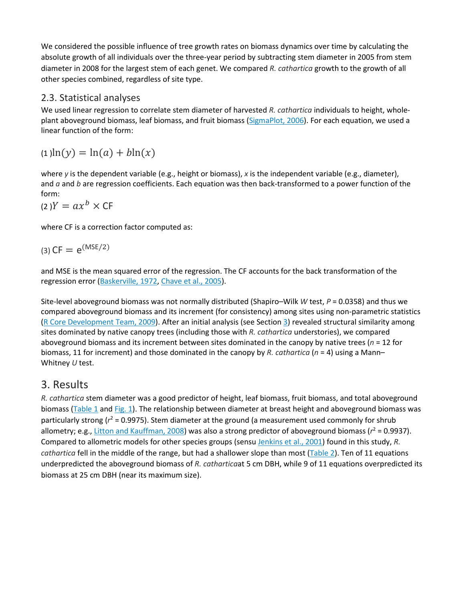We considered the possible influence of tree growth rates on biomass dynamics over time by calculating the absolute growth of all individuals over the three-year period by subtracting stem diameter in 2005 from stem diameter in 2008 for the largest stem of each genet. We compared *R. cathartica* growth to the growth of all other species combined, regardless of site type.

#### 2.3. Statistical analyses

We used linear regression to correlate stem diameter of harvested *R. cathartica* individuals to height, wholeplant aboveground biomass, leaf biomass, and fruit biomass [\(SigmaPlot, 2006\)](https://www.sciencedirect.com/science/article/pii/S037811271000664X#bib0125). For each equation, we used a linear function of the form:

 $ln(y) = ln(a) + bh(x)$ 

where *y* is the dependent variable (e.g., height or biomass), *x* is the independent variable (e.g., diameter), and *a* and *b* are regression coefficients. Each equation was then back-transformed to a power function of the form:

 $(2)Y = ax^b \times CF$ 

where CF is a correction factor computed as:

$$
(3) CF = e^{(MSE/2)}
$$

and MSE is the mean squared error of the regression. The CF accounts for the back transformation of the regression error [\(Baskerville, 1972,](https://www.sciencedirect.com/science/article/pii/S037811271000664X#bib0010) Chave [et al., 2005\)](https://www.sciencedirect.com/science/article/pii/S037811271000664X#bib0015).

Site-level aboveground biomass was not normally distributed (Shapiro–Wilk *W* test, *P* = 0.0358) and thus we compared aboveground biomass and its increment (for consistency) among sites using non-parametric statistics [\(R Core Development Team, 2009\)](https://www.sciencedirect.com/science/article/pii/S037811271000664X#bib0110). After an initial analysis (see Section [3\)](https://www.sciencedirect.com/science/article/pii/S037811271000664X#sec0030) revealed structural similarity among sites dominated by native canopy trees (including those with *R. cathartica* understories), we compared aboveground biomass and its increment between sites dominated in the canopy by native trees (*n* = 12 for biomass, 11 for increment) and those dominated in the canopy by *R. cathartica* (*n* = 4) using a Mann– Whitney *U* test.

#### 3. Results

*R. cathartica* stem diameter was a good predictor of height, leaf biomass, fruit biomass, and total aboveground biomass [\(Table 1](https://www.sciencedirect.com/science/article/pii/S037811271000664X#tbl0010) and [Fig. 1\)](https://www.sciencedirect.com/science/article/pii/S037811271000664X#fig0005). The relationship between diameter at breast height and aboveground biomass was particularly strong ( $r^2$  = 0.9975). Stem diameter at the ground (a measurement used commonly for shrub allometry; e.g., [Litton and Kauffman, 2008\)](https://www.sciencedirect.com/science/article/pii/S037811271000664X#bib0075) was also a strong predictor of aboveground biomass ( $r^2$  = 0.9937). Compared to allometric models for other species groups (sensu [Jenkins et al., 2001\)](https://www.sciencedirect.com/science/article/pii/S037811271000664X#bib0060) found in this study, *R. cathartica* fell in the middle of the range, but had a shallower slope than most [\(Table 2\)](https://www.sciencedirect.com/science/article/pii/S037811271000664X#tbl0015). Ten of 11 equations underpredicted the aboveground biomass of *R. cathartica*at 5 cm DBH, while 9 of 11 equations overpredicted its biomass at 25 cm DBH (near its maximum size).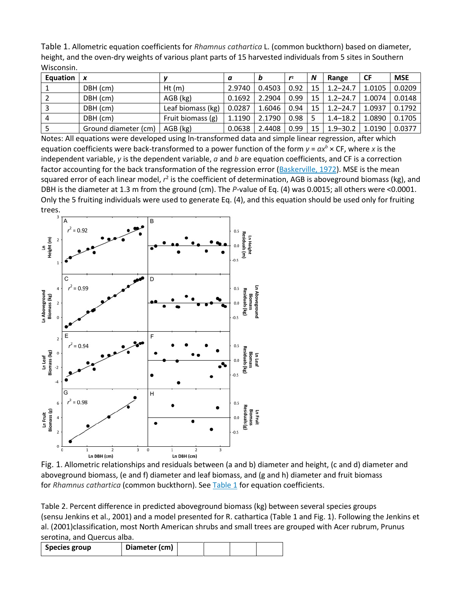Table 1. Allometric equation coefficients for *Rhamnus cathartica* L. (common buckthorn) based on diameter, height, and the oven-dry weights of various plant parts of 15 harvested individuals from 5 sites in Southern Wisconsin.

| Equation | X                    |                   | a      | b      | r <sub>2</sub> | N  | Range        | <b>CF</b> | <b>MSE</b> |
|----------|----------------------|-------------------|--------|--------|----------------|----|--------------|-----------|------------|
|          | DBH (cm)             | Ht(m)             | 2.9740 | 0.4503 | 0.92           | 15 | $1.2 - 24.7$ | 1.0105    | 0.0209     |
|          | DBH (cm)             | AGB (kg)          | 0.1692 | 2.2904 | 0.99           | 15 | $1.2 - 24.7$ | 1.0074    | 0.0148     |
|          | DBH (cm)             | Leaf biomass (kg) | 0.0287 | 1.6046 | 0.94           | 15 | $1.2 - 24.7$ | 1.0937    | 0.1792     |
| $\Delta$ | DBH (cm)             | Fruit biomass (g) | 1.1190 | 2.1790 | 0.98           |    | $1.4 - 18.2$ | 1.0890    | 0.1705     |
|          | Ground diameter (cm) | AGB (kg)          | 0.0638 | 2.4408 | 0.99           | 15 | $1.9 - 30.2$ | 1.0190    | 0.0377     |

Notes: All equations were developed using ln-transformed data and simple linear regression, after which equation coefficients were back-transformed to a power function of the form  $y = ax^b \times CF$ , where *x* is the independent variable, *y* is the dependent variable, *a* and *b* are equation coefficients, and CF is a correction factor accounting for the back transformation of the regression error [\(Baskerville, 1972\)](https://www.sciencedirect.com/science/article/pii/S037811271000664X#bib0010). MSE is the mean squared error of each linear model,  $r^2$  is the coefficient of determination, AGB is aboveground biomass (kg), and DBH is the diameter at 1.3 m from the ground (cm). The *P*-value of Eq. (4) was 0.0015; all others were <0.0001. Only the 5 fruiting individuals were used to generate Eq. (4), and this equation should be used only for fruiting trees.



Fig. 1. Allometric relationships and residuals between (a and b) diameter and height, (c and d) diameter and aboveground biomass, (e and f) diameter and leaf biomass, and (g and h) diameter and fruit biomass for *Rhamnus cathartica* (common buckthorn). See [Table 1](https://www.sciencedirect.com/science/article/pii/S037811271000664X#tbl0010) for equation coefficients.

Table 2. Percent difference in predicted aboveground biomass (kg) between several species groups (sensu [Jenkins et al., 2001\)](https://www.sciencedirect.com/science/article/pii/S037811271000664X#bib0060) and a model presented for R. cathartica [\(Table 1](https://www.sciencedirect.com/science/article/pii/S037811271000664X#tbl0010) and [Fig. 1\)](https://www.sciencedirect.com/science/article/pii/S037811271000664X#fig0005). Following the [Jenkins et](https://www.sciencedirect.com/science/article/pii/S037811271000664X#bib0060)  [al. \(2001\)c](https://www.sciencedirect.com/science/article/pii/S037811271000664X#bib0060)lassification, most North American shrubs and small trees are grouped with Acer rubrum, Prunus serotina, and Quercus alba.

| <b>Species group</b> | Diameter (cm) |  |  |  |  |
|----------------------|---------------|--|--|--|--|
|----------------------|---------------|--|--|--|--|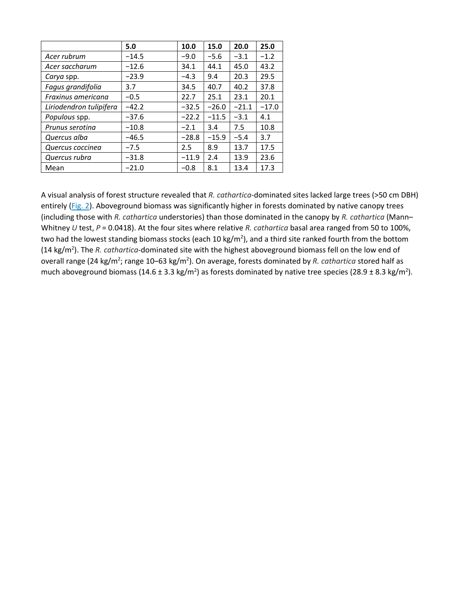|                         | 5.0     | 10.0    | 15.0    | 20.0    | 25.0    |
|-------------------------|---------|---------|---------|---------|---------|
| Acer rubrum             | $-14.5$ | $-9.0$  | $-5.6$  | $-3.1$  | $-1.2$  |
| Acer saccharum          | $-12.6$ | 34.1    | 44.1    | 45.0    | 43.2    |
| Carya spp.              | $-23.9$ | $-4.3$  | 9.4     | 20.3    | 29.5    |
| Fagus grandifolia       | 3.7     | 34.5    | 40.7    | 40.2    | 37.8    |
| Fraxinus americana      | $-0.5$  | 22.7    | 25.1    | 23.1    | 20.1    |
| Liriodendron tulipifera | $-42.2$ | $-32.5$ | $-26.0$ | $-21.1$ | $-17.0$ |
| Populous spp.           | $-37.6$ | $-22.2$ | $-11.5$ | $-3.1$  | 4.1     |
| Prunus serotina         | $-10.8$ | $-2.1$  | 3.4     | 7.5     | 10.8    |
| Quercus alba            | $-46.5$ | $-28.8$ | $-15.9$ | $-5.4$  | 3.7     |
| Quercus coccinea        | $-7.5$  | 2.5     | 8.9     | 13.7    | 17.5    |
| Quercus rubra           | $-31.8$ | $-11.9$ | 2.4     | 13.9    | 23.6    |
| Mean                    | $-21.0$ | $-0.8$  | 8.1     | 13.4    | 17.3    |

A visual analysis of forest structure revealed that *R. cathartica*-dominated sites lacked large trees (>50 cm DBH) entirely [\(Fig. 2\)](https://www.sciencedirect.com/science/article/pii/S037811271000664X#fig0010). Aboveground biomass was significantly higher in forests dominated by native canopy trees (including those with *R. cathartica* understories) than those dominated in the canopy by *R. cathartica* (Mann– Whitney *U* test, *P* = 0.0418). At the four sites where relative *R. cathartica* basal area ranged from 50 to 100%, two had the lowest standing biomass stocks (each 10 kg/m<sup>2</sup>), and a third site ranked fourth from the bottom (14 kg/m2 ). The *R. cathartica*-dominated site with the highest aboveground biomass fell on the low end of overall range (24 kg/m<sup>2</sup>; range 10–63 kg/m<sup>2</sup>). On average, forests dominated by *R. cathartica* stored half as much aboveground biomass (14.6 ± 3.3 kg/m<sup>2</sup>) as forests dominated by native tree species (28.9 ± 8.3 kg/m<sup>2</sup>).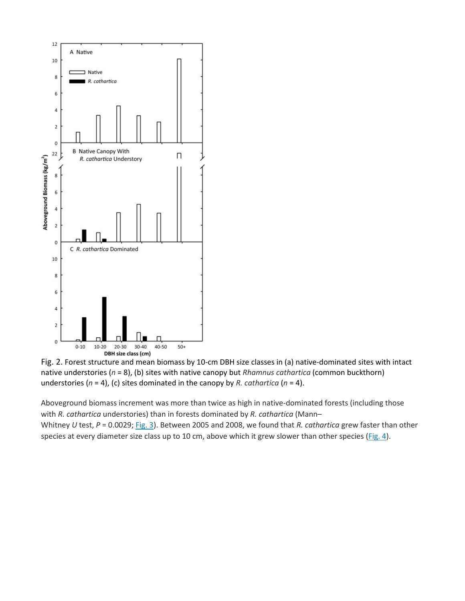

Fig. 2. Forest structure and mean biomass by 10-cm DBH size classes in (a) native-dominated sites with intact native understories (*n* = 8), (b) sites with native canopy but *Rhamnus cathartica* (common buckthorn) understories (*n* = 4), (c) sites dominated in the canopy by *R. cathartica* (*n* = 4).

Aboveground biomass increment was more than twice as high in native-dominated forests (including those with *R. cathartica* understories) than in forests dominated by *R. cathartica* (Mann– Whitney *U* test, *P* = 0.0029; [Fig. 3\)](https://www.sciencedirect.com/science/article/pii/S037811271000664X#fig0015). Between 2005 and 2008, we found that *R. cathartica* grew faster than other species at every diameter size class up to 10 cm, above which it grew slower than other species [\(Fig. 4\)](https://www.sciencedirect.com/science/article/pii/S037811271000664X#fig0020).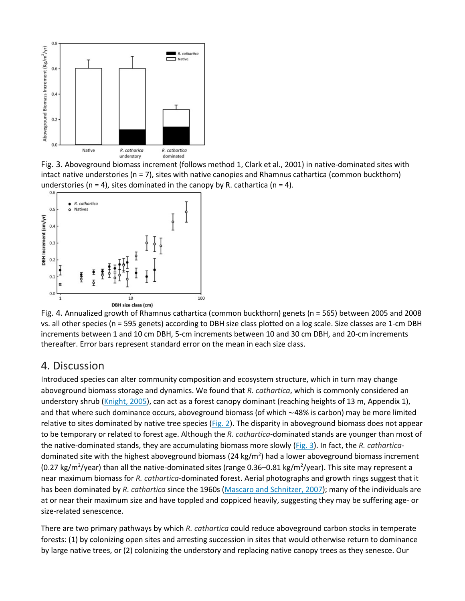

Fig. 3. Aboveground biomass increment (follows method 1, [Clark et al., 2001\)](https://www.sciencedirect.com/science/article/pii/S037811271000664X#bib0020) in native-dominated sites with intact native understories (n = 7), sites with native canopies and Rhamnus cathartica (common buckthorn) understories (n = 4), sites dominated in the canopy by R. cathartica (n = 4).



Fig. 4. Annualized growth of Rhamnus cathartica (common buckthorn) genets (n = 565) between 2005 and 2008 vs. all other species (n = 595 genets) according to DBH size class plotted on a log scale. Size classes are 1-cm DBH increments between 1 and 10 cm DBH, 5-cm increments between 10 and 30 cm DBH, and 20-cm increments thereafter. Error bars represent standard error on the mean in each size class.

#### 4. Discussion

Introduced species can alter community composition and ecosystem structure, which in turn may change aboveground biomass storage and dynamics. We found that *R. cathartica*, which is commonly considered an understory shrub [\(Knight, 2005\)](https://www.sciencedirect.com/science/article/pii/S037811271000664X#bib0065), can act as a forest canopy dominant (reaching heights of 13 m, Appendix 1), and that where such dominance occurs, aboveground biomass (of which ∼48% is carbon) may be more limited relative to sites dominated by native tree species  $(Fig. 2)$ . The disparity in aboveground biomass does not appear to be temporary or related to forest age. Although the *R. cathartica*-dominated stands are younger than most of the native-dominated stands, they are accumulating biomass more slowly [\(Fig. 3\)](https://www.sciencedirect.com/science/article/pii/S037811271000664X#fig0015). In fact, the *R. cathartica*dominated site with the highest aboveground biomass (24 kg/m<sup>2</sup>) had a lower aboveground biomass increment (0.27 kg/m<sup>2</sup>/year) than all the native-dominated sites (range 0.36–0.81 kg/m<sup>2</sup>/year). This site may represent a near maximum biomass for *R. cathartica*-dominated forest. Aerial photographs and growth rings suggest that it has been dominated by *R. cathartica* since the 1960s [\(Mascaro and Schnitzer, 2007\)](https://www.sciencedirect.com/science/article/pii/S037811271000664X#bib0095); many of the individuals are at or near their maximum size and have toppled and coppiced heavily, suggesting they may be suffering age- or size-related senescence.

There are two primary pathways by which *R. cathartica* could reduce aboveground carbon stocks in temperate forests: (1) by colonizing open sites and arresting succession in sites that would otherwise return to dominance by large native trees, or (2) colonizing the understory and replacing native canopy trees as they senesce. Our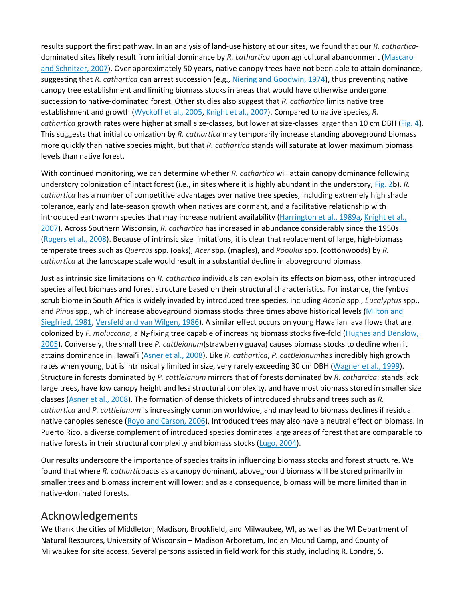results support the first pathway. In an analysis of land-use history at our sites, we found that our *R. cathartica*dominated sites likely result from initial dominance by *R. cathartica* upon agricultural abandonment [\(Mascaro](https://www.sciencedirect.com/science/article/pii/S037811271000664X#bib0095)  [and Schnitzer, 2007\)](https://www.sciencedirect.com/science/article/pii/S037811271000664X#bib0095). Over approximately 50 years, native canopy trees have not been able to attain dominance, suggesting that *R. cathartica* can arrest succession (e.g., [Niering and Goodwin, 1974\)](https://www.sciencedirect.com/science/article/pii/S037811271000664X#bib0105), thus preventing native canopy tree establishment and limiting biomass stocks in areas that would have otherwise undergone succession to native-dominated forest. Other studies also suggest that *R. cathartica* limits native tree establishment and growth [\(Wyckoff et al., 2005,](https://www.sciencedirect.com/science/article/pii/S037811271000664X#bib0145) [Knight et al., 2007\)](https://www.sciencedirect.com/science/article/pii/S037811271000664X#bib0070). Compared to native species, *R. cathartica* growth rates were higher at small size-classes, but lower at size-classes larger than 10 cm DBH [\(Fig. 4\)](https://www.sciencedirect.com/science/article/pii/S037811271000664X#fig0020). This suggests that initial colonization by *R. cathartica* may temporarily increase standing aboveground biomass more quickly than native species might, but that *R. cathartica* stands will saturate at lower maximum biomass levels than native forest.

With continued monitoring, we can determine whether *R. cathartica* will attain canopy dominance following understory colonization of intact forest (i.e., in sites where it is highly abundant in the understory, [Fig. 2b](https://www.sciencedirect.com/science/article/pii/S037811271000664X#fig0010)). *R. cathartica* has a number of competitive advantages over native tree species, including extremely high shade tolerance, early and late-season growth when natives are dormant, and a facilitative relationship with introduced earthworm species that may increase nutrient availability [\(Harrington et al., 1989a,](https://www.sciencedirect.com/science/article/pii/S037811271000664X#bib0035) [Knight et al.,](https://www.sciencedirect.com/science/article/pii/S037811271000664X#bib0070)  [2007\)](https://www.sciencedirect.com/science/article/pii/S037811271000664X#bib0070). Across Southern Wisconsin, *R. cathartica* has increased in abundance considerably since the 1950s [\(Rogers et al., 2008\)](https://www.sciencedirect.com/science/article/pii/S037811271000664X#bib0115). Because of intrinsic size limitations, it is clear that replacement of large, high-biomass temperate trees such as *Quercus* spp. (oaks), *Acer* spp. (maples), and *Populus* spp. (cottonwoods) by *R. cathartica* at the landscape scale would result in a substantial decline in aboveground biomass.

Just as intrinsic size limitations on *R. cathartica* individuals can explain its effects on biomass, other introduced species affect biomass and forest structure based on their structural characteristics. For instance, the fynbos scrub biome in South Africa is widely invaded by introduced tree species, including *Acacia* spp., *Eucalyptus* spp., and *Pinus* spp., which increase aboveground biomass stocks three times above historical levels [\(Milton and](https://www.sciencedirect.com/science/article/pii/S037811271000664X#bib0100)  [Siegfried, 1981,](https://www.sciencedirect.com/science/article/pii/S037811271000664X#bib0100) [Versfeld and van Wilgen, 1986\)](https://www.sciencedirect.com/science/article/pii/S037811271000664X#bib0135). A similar effect occurs on young Hawaiian lava flows that are colonized by *F. moluccana*, a N<sub>2</sub>-fixing tree capable of increasing biomass stocks five-fold (Hughes and Denslow, [2005\)](https://www.sciencedirect.com/science/article/pii/S037811271000664X#bib0050). Conversely, the small tree *P. cattleianum*(strawberry guava) causes biomass stocks to decline when it attains dominance in Hawai'i [\(Asner et al., 2008\)](https://www.sciencedirect.com/science/article/pii/S037811271000664X#bib0005). Like *R. cathartica*, *P. cattleianum*has incredibly high growth rates when young, but is intrinsically limited in size, very rarely exceeding 30 cm DBH [\(Wagner et al., 1999\)](https://www.sciencedirect.com/science/article/pii/S037811271000664X#bib0140). Structure in forests dominated by *P. cattleianum* mirrors that of forests dominated by *R. cathartica*: stands lack large trees, have low canopy height and less structural complexity, and have most biomass stored in smaller size classes [\(Asner et al., 2008\)](https://www.sciencedirect.com/science/article/pii/S037811271000664X#bib0005). The formation of dense thickets of introduced shrubs and trees such as *R. cathartica* and *P. cattleianum* is increasingly common worldwide, and may lead to biomass declines if residual native canopies senesce [\(Royo and Carson, 2006\)](https://www.sciencedirect.com/science/article/pii/S037811271000664X#bib0120). Introduced trees may also have a neutral effect on biomass. In Puerto Rico, a diverse complement of introduced species dominates large areas of forest that are comparable to native forests in their structural complexity and biomass stocks [\(Lugo, 2004\)](https://www.sciencedirect.com/science/article/pii/S037811271000664X#bib0085).

Our results underscore the importance of species traits in influencing biomass stocks and forest structure. We found that where *R. cathartica*acts as a canopy dominant, aboveground biomass will be stored primarily in smaller trees and biomass increment will lower; and as a consequence, biomass will be more limited than in native-dominated forests.

## Acknowledgements

We thank the cities of Middleton, Madison, Brookfield, and Milwaukee, WI, as well as the WI Department of Natural Resources, University of Wisconsin – Madison Arboretum, Indian Mound Camp, and County of Milwaukee for site access. Several persons assisted in field work for this study, including R. Londré, S.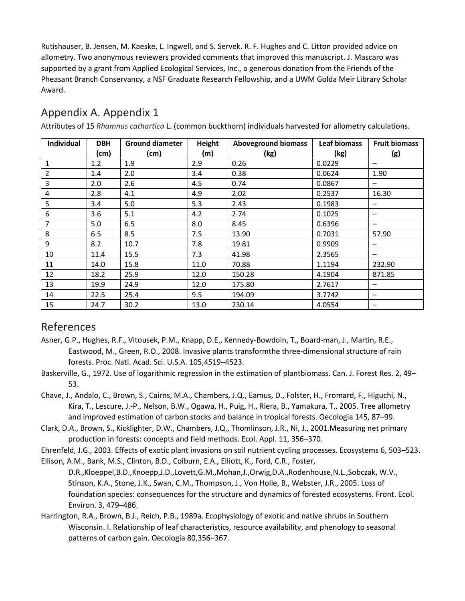Rutishauser, B. Jensen, M. Kaeske, L. Ingwell, and S. Servek. R. F. Hughes and C. Litton provided advice on allometry. Two anonymous reviewers provided comments that improved this manuscript. J. Mascaro was supported by a grant from Applied Ecological Services, Inc., a generous donation from the Friends of the Pheasant Branch Conservancy, a NSF Graduate Research Fellowship, and a UWM Golda Meir Library Scholar Award.

## Appendix A. Appendix 1

Attributes of 15 *Rhamnus cathartica* L. (common buckthorn) individuals harvested for allometry calculations.

| Individual | <b>DBH</b> | <b>Ground diameter</b> | Height | <b>Aboveground biomass</b> | <b>Leaf biomass</b> | <b>Fruit biomass</b> |
|------------|------------|------------------------|--------|----------------------------|---------------------|----------------------|
|            | (cm)       | (cm)                   | (m)    | (kg)                       | (kg)                | (g)                  |
| 1          | 1.2        | 1.9                    | 2.9    | 0.26                       | 0.0229              | -                    |
| 2          | 1.4        | 2.0                    | 3.4    | 0.38                       | 0.0624              | 1.90                 |
| 3          | 2.0        | 2.6                    | 4.5    | 0.74                       | 0.0867              |                      |
| 4          | 2.8        | 4.1                    | 4.9    | 2.02                       | 0.2537              | 16.30                |
| 5          | 3.4        | 5.0                    | 5.3    | 2.43                       | 0.1983              | -                    |
| 6          | 3.6        | 5.1                    | 4.2    | 2.74                       | 0.1025              | -                    |
| 7          | 5.0        | 6.5                    | 8.0    | 8.45                       | 0.6396              |                      |
| 8          | 6.5        | 8.5                    | 7.5    | 13.90                      | 0.7031              | 57.90                |
| 9          | 8.2        | 10.7                   | 7.8    | 19.81                      | 0.9909              | -                    |
| 10         | 11.4       | 15.5                   | 7.3    | 41.98                      | 2.3565              |                      |
| 11         | 14.0       | 15.8                   | 11.0   | 70.88                      | 1.1194              | 232.90               |
| 12         | 18.2       | 25.9                   | 12.0   | 150.28                     | 4.1904              | 871.85               |
| 13         | 19.9       | 24.9                   | 12.0   | 175.80                     | 2.7617              | –                    |
| 14         | 22.5       | 25.4                   | 9.5    | 194.09                     | 3.7742              | -                    |
| 15         | 24.7       | 30.2                   | 13.0   | 230.14                     | 4.0554              |                      |

#### References

- Asner, G.P., Hughes, R.F., Vitousek, P.M., Knapp, D.E., Kennedy-Bowdoin, T., Board-man, J., Martin, R.E., Eastwood, M., Green, R.O., 2008. Invasive plants transformthe three-dimensional structure of rain forests. Proc. Natl. Acad. Sci. U.S.A. 105,4519–4523.
- Baskerville, G., 1972. Use of logarithmic regression in the estimation of plantbiomass. Can. J. Forest Res. 2, 49– 53.
- Chave, J., Andalo, C., Brown, S., Cairns, M.A., Chambers, J.Q., Eamus, D., Folster, H., Fromard, F., Higuchi, N., Kira, T., Lescure, J.-P., Nelson, B.W., Ogawa, H., Puig, H., Riera, B., Yamakura, T., 2005. Tree allometry and improved estimation of carbon stocks and balance in tropical forests. Oecologia 145, 87–99.
- Clark, D.A., Brown, S., Kicklighter, D.W., Chambers, J.Q., Thomlinson, J.R., Ni, J., 2001.Measuring net primary production in forests: concepts and field methods. Ecol. Appl. 11, 356–370.
- Ehrenfeld, J.G., 2003. Effects of exotic plant invasions on soil nutrient cycling processes. Ecosystems 6, 503–523.
- Ellison, A.M., Bank, M.S., Clinton, B.D., Colburn, E.A., Elliott, K., Ford, C.R., Foster, D.R.,Kloeppel,B.D.,Knoepp,J.D.,Lovett,G.M.,Mohan,J.,Orwig,D.A.,Rodenhouse,N.L.,Sobczak, W.V., Stinson, K.A., Stone, J.K., Swan, C.M., Thompson, J., Von Holle, B., Webster, J.R., 2005. Loss of foundation species: consequences for the structure and dynamics of forested ecosystems. Front. Ecol. Environ. 3, 479–486.
- Harrington, R.A., Brown, B.J., Reich, P.B., 1989a. Ecophysiology of exotic and native shrubs in Southern Wisconsin. I. Relationship of leaf characteristics, resource availability, and phenology to seasonal patterns of carbon gain. Oecologia 80,356–367.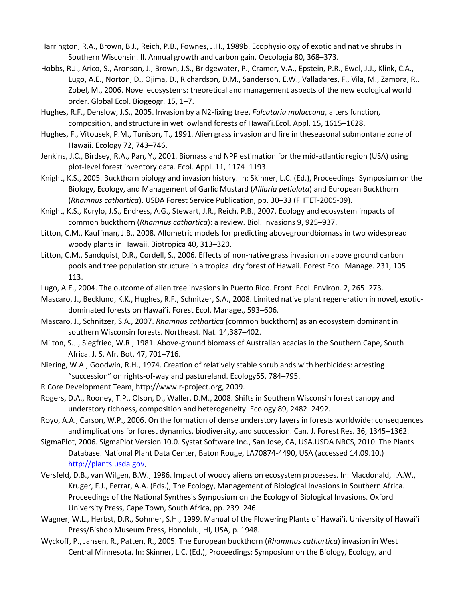- Harrington, R.A., Brown, B.J., Reich, P.B., Fownes, J.H., 1989b. Ecophysiology of exotic and native shrubs in Southern Wisconsin. II. Annual growth and carbon gain. Oecologia 80, 368–373.
- Hobbs, R.J., Arico, S., Aronson, J., Brown, J.S., Bridgewater, P., Cramer, V.A., Epstein, P.R., Ewel, J.J., Klink, C.A., Lugo, A.E., Norton, D., Ojima, D., Richardson, D.M., Sanderson, E.W., Valladares, F., Vila, M., Zamora, R., Zobel, M., 2006. Novel ecosystems: theoretical and management aspects of the new ecological world order. Global Ecol. Biogeogr. 15, 1–7.
- Hughes, R.F., Denslow, J.S., 2005. Invasion by a N2-fixing tree, *Falcataria moluccana*, alters function, composition, and structure in wet lowland forests of Hawai'i.Ecol. Appl. 15, 1615–1628.
- Hughes, F., Vitousek, P.M., Tunison, T., 1991. Alien grass invasion and fire in theseasonal submontane zone of Hawaii. Ecology 72, 743–746.
- Jenkins, J.C., Birdsey, R.A., Pan, Y., 2001. Biomass and NPP estimation for the mid-atlantic region (USA) using plot-level forest inventory data. Ecol. Appl. 11, 1174–1193.
- Knight, K.S., 2005. Buckthorn biology and invasion history. In: Skinner, L.C. (Ed.), Proceedings: Symposium on the Biology, Ecology, and Management of Garlic Mustard (*Alliaria petiolata*) and European Buckthorn (*Rhamnus cathartica*). USDA Forest Service Publication, pp. 30–33 (FHTET-2005-09).
- Knight, K.S., Kurylo, J.S., Endress, A.G., Stewart, J.R., Reich, P.B., 2007. Ecology and ecosystem impacts of common buckthorn (*Rhamnus cathartica*): a review. Biol. Invasions 9, 925–937.
- Litton, C.M., Kauffman, J.B., 2008. Allometric models for predicting abovegroundbiomass in two widespread woody plants in Hawaii. Biotropica 40, 313–320.
- Litton, C.M., Sandquist, D.R., Cordell, S., 2006. Effects of non-native grass invasion on above ground carbon pools and tree population structure in a tropical dry forest of Hawaii. Forest Ecol. Manage. 231, 105– 113.
- Lugo, A.E., 2004. The outcome of alien tree invasions in Puerto Rico. Front. Ecol. Environ. 2, 265–273.
- Mascaro, J., Becklund, K.K., Hughes, R.F., Schnitzer, S.A., 2008. Limited native plant regeneration in novel, exoticdominated forests on Hawai'i. Forest Ecol. Manage., 593–606.
- Mascaro, J., Schnitzer, S.A., 2007. *Rhamnus cathartica* (common buckthorn) as an ecosystem dominant in southern Wisconsin forests. Northeast. Nat. 14,387–402.
- Milton, S.J., Siegfried, W.R., 1981. Above-ground biomass of Australian acacias in the Southern Cape, South Africa. J. S. Afr. Bot. 47, 701–716.
- Niering, W.A., Goodwin, R.H., 1974. Creation of relatively stable shrublands with herbicides: arresting "succession" on rights-of-way and pastureland. Ecology55, 784–795.
- R Core Development Team, http://www.r-project.org, 2009.
- Rogers, D.A., Rooney, T.P., Olson, D., Waller, D.M., 2008. Shifts in Southern Wisconsin forest canopy and understory richness, composition and heterogeneity. Ecology 89, 2482–2492.
- Royo, A.A., Carson, W.P., 2006. On the formation of dense understory layers in forests worldwide: consequences and implications for forest dynamics, biodiversity, and succession. Can. J. Forest Res. 36, 1345–1362.
- SigmaPlot, 2006. SigmaPlot Version 10.0. Systat Software Inc., San Jose, CA, USA.USDA NRCS, 2010. The Plants Database. National Plant Data Center, Baton Rouge, LA70874-4490, USA (accessed 14.09.10.) [http://plants.usda.gov.](http://plants.usda.gov/)
- Versfeld, D.B., van Wilgen, B.W., 1986. Impact of woody aliens on ecosystem processes. In: Macdonald, I.A.W., Kruger, F.J., Ferrar, A.A. (Eds.), The Ecology, Management of Biological Invasions in Southern Africa. Proceedings of the National Synthesis Symposium on the Ecology of Biological Invasions. Oxford University Press, Cape Town, South Africa, pp. 239–246.
- Wagner, W.L., Herbst, D.R., Sohmer, S.H., 1999. Manual of the Flowering Plants of Hawai'i. University of Hawai'i Press/Bishop Museum Press, Honolulu, HI, USA, p. 1948.
- Wyckoff, P., Jansen, R., Patten, R., 2005. The European buckthorn (*Rhammus cathartica*) invasion in West Central Minnesota. In: Skinner, L.C. (Ed.), Proceedings: Symposium on the Biology, Ecology, and